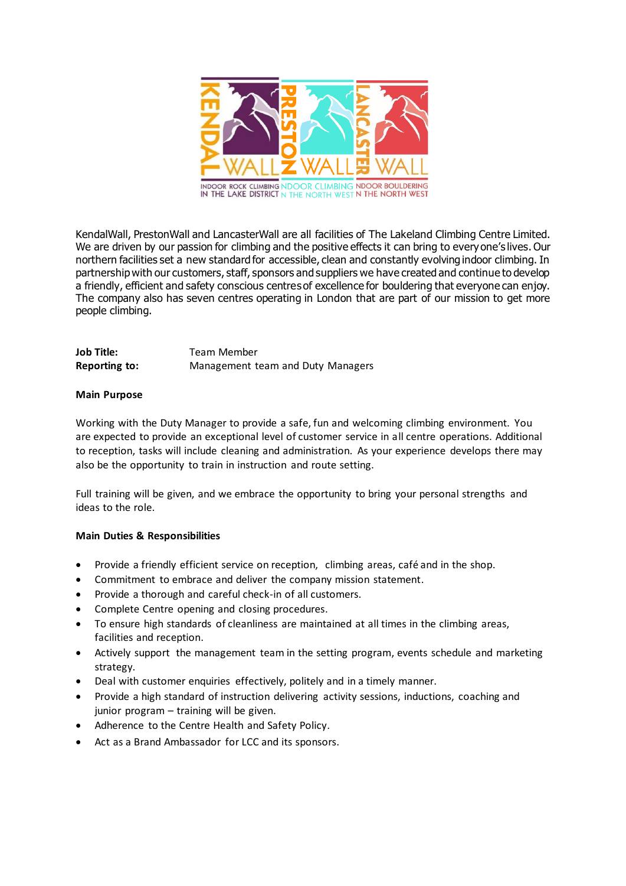

KendalWall, PrestonWall and LancasterWall are all facilities of The Lakeland Climbing Centre Limited. We are driven by our passion for climbing and the positive effects it can bring to everyone's lives. Our northern facilities set a new standard for accessible, clean and constantly evolving indoor climbing. In partnership with our customers, staff, sponsors and suppliers we have created and continue to develop a friendly, efficient and safety conscious centres of excellence for bouldering that everyone can enjoy. The company also has seven centres operating in London that are part of our mission to get more people climbing.

| Job Title:    | Team Member                       |
|---------------|-----------------------------------|
| Reporting to: | Management team and Duty Managers |

## **Main Purpose**

Working with the Duty Manager to provide a safe, fun and welcoming climbing environment. You are expected to provide an exceptional level of customer service in all centre operations. Additional to reception, tasks will include cleaning and administration. As your experience develops there may also be the opportunity to train in instruction and route setting.

Full training will be given, and we embrace the opportunity to bring your personal strengths and ideas to the role.

## **Main Duties & Responsibilities**

- Provide a friendly efficient service on reception, climbing areas, café and in the shop.
- Commitment to embrace and deliver the company mission statement.
- Provide a thorough and careful check-in of all customers.
- Complete Centre opening and closing procedures.
- To ensure high standards of cleanliness are maintained at all times in the climbing areas, facilities and reception.
- Actively support the management team in the setting program, events schedule and marketing strategy.
- Deal with customer enquiries effectively, politely and in a timely manner.
- Provide a high standard of instruction delivering activity sessions, inductions, coaching and junior program – training will be given.
- Adherence to the Centre Health and Safety Policy.
- Act as a Brand Ambassador for LCC and its sponsors.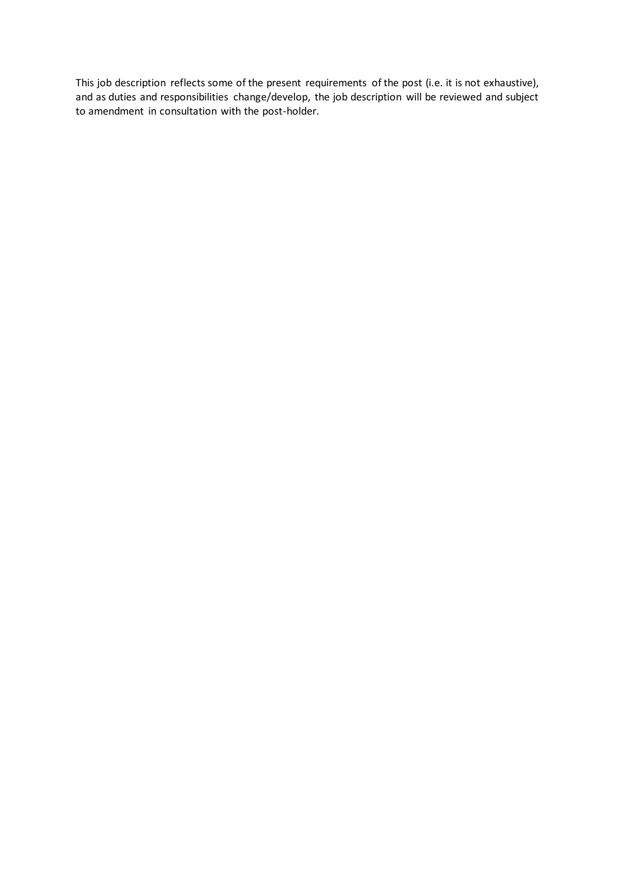This job description reflects some of the present requirements of the post (i.e. it is not exhaustive), and as duties and responsibilities change/develop, the job description will be reviewed and subject to amendment in consultation with the post-holder.